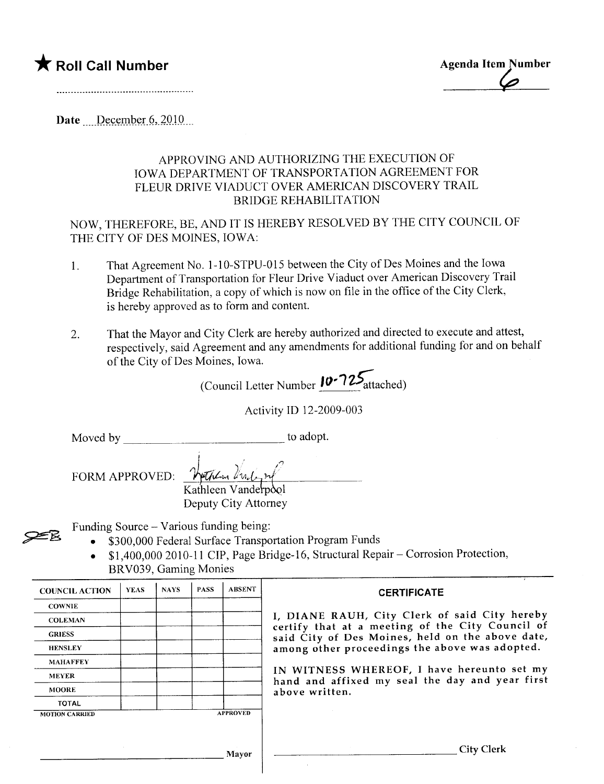## \* Roll Call Number Agenda Item Number

 $\varphi$ 

Date December  $6, 2010$ 

## APPROVING AND AUTHORIZING THE EXECUTION OF IOWA DEPARTMENT OF TRANSPORTATION AGREEMENT FOR FLEUR DRIVE VIADUCT OVER AMERICAN DISCOVERY TRAIL BRIDGE REHABILITATION

NOW, THEREFORE, BE, AND IT IS HEREBY RESOLVED BY THE CITY COUNCIL OF THE CITY OF DES MOINES, IOWA:

- 1. That Agreement No. 1-10-STPU-015 between the City of Des Moines and the Iowa Department of Transportation for Fleur Drive Viaduct over American Discovery Trail Bridge Rehabilitation, a copy of which is now on file in the office of the City Clerk, is hereby approved as to form and content.
- 2. That the Mayor and City Clerk are hereby authorized and directed to execute and attest, respectively, said Agreement and any amendments for additional funding for and on behalf of the City of Des Moines, Iowa.

(Council Letter Number 10-725 attached)

Activity ID 12-2009-003

Moved by to adopt.

**ZER** 

FORM APPROVED: Watch british

Kathleen Vanderpool Deputy City Attorney

Funding Source - Various funding being:

i

- . \$300,000 Federal Surface Transportation Program Funds
- $\bullet$  \$1,400,000 2010-11 CIP, Page Bridge-16, Structural Repair Corrosion Protection, BRV039, Gaming Monies

| <b>COUNCIL ACTION</b> | <b>YEAS</b> | <b>NAYS</b> | <b>PASS</b> | <b>ABSENT</b>   | <b>CERTIFICATE</b>                                                                                                                                                                                                                                                                                                         |
|-----------------------|-------------|-------------|-------------|-----------------|----------------------------------------------------------------------------------------------------------------------------------------------------------------------------------------------------------------------------------------------------------------------------------------------------------------------------|
| <b>COWNIE</b>         |             |             |             |                 |                                                                                                                                                                                                                                                                                                                            |
| <b>COLEMAN</b>        |             |             |             |                 | I, DIANE RAUH, City Clerk of said City hereby<br>certify that at a meeting of the City Council of<br>said City of Des Moines, held on the above date,<br>among other proceedings the above was adopted.<br>IN WITNESS WHEREOF, I have hereunto set my<br>hand and affixed my seal the day and year first<br>above written. |
| <b>GRIESS</b>         |             |             |             |                 |                                                                                                                                                                                                                                                                                                                            |
| <b>HENSLEY</b>        |             |             |             |                 |                                                                                                                                                                                                                                                                                                                            |
| <b>MAHAFFEY</b>       |             |             |             |                 |                                                                                                                                                                                                                                                                                                                            |
| <b>MEYER</b>          |             |             |             |                 |                                                                                                                                                                                                                                                                                                                            |
| <b>MOORE</b>          |             |             |             |                 |                                                                                                                                                                                                                                                                                                                            |
| <b>TOTAL</b>          |             |             |             |                 |                                                                                                                                                                                                                                                                                                                            |
| <b>MOTION CARRIED</b> |             |             |             | <b>APPROVED</b> |                                                                                                                                                                                                                                                                                                                            |
|                       |             |             |             |                 |                                                                                                                                                                                                                                                                                                                            |
|                       |             |             |             | Mayor           | City Clerk                                                                                                                                                                                                                                                                                                                 |